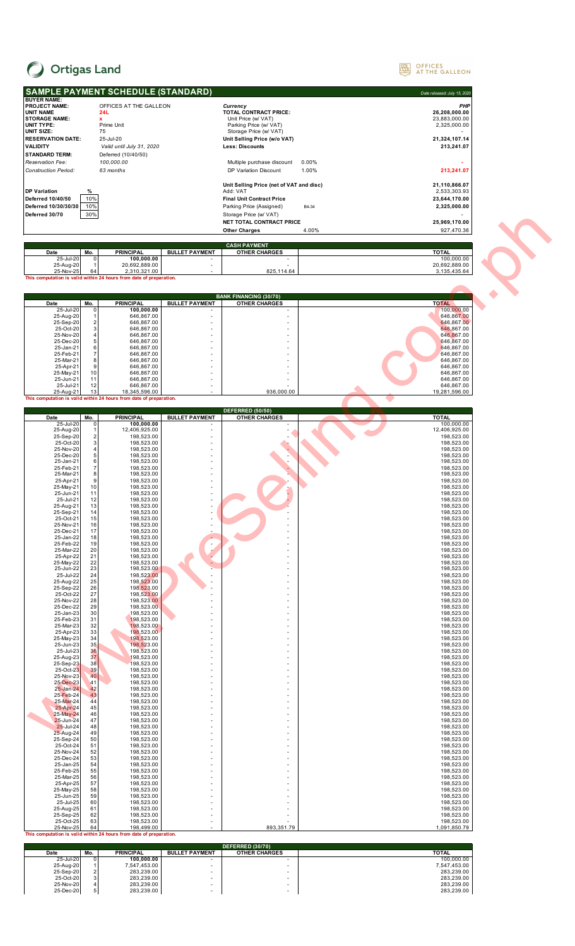

 $\overline{\phantom{a}}$ 

## OFFICES AT THE GALLEON

|                                                 |                     | <b>SAMPLE PAYMENT SCHEDULE (STANDARD)</b>                                            |                                |                                                        |                | Date released: July 15, 2020  |
|-------------------------------------------------|---------------------|--------------------------------------------------------------------------------------|--------------------------------|--------------------------------------------------------|----------------|-------------------------------|
| <b>BUYER NAME:</b>                              |                     |                                                                                      |                                |                                                        |                |                               |
| <b>PROJECT NAME:</b><br><b>UNIT NAME</b>        |                     | OFFICES AT THE GALLEON<br>24L                                                        |                                | Currency<br>TOTAL CONTRACT PRICE:                      |                | PHP<br>26.208.000.00          |
| <b>STORAGE NAME:</b><br><b>UNIT TYPE:</b>       |                     | $\mathbf{x}$<br>Prime Unit                                                           |                                | Unit Price (w/ VAT)<br>Parking Price (w/ VAT)          |                | 23,883,000.00<br>2,325,000.00 |
| UNIT SIZE:<br><b>RESERVATION DATE:</b>          |                     | 75<br>25-Jul-20                                                                      |                                | Storage Price (w/ VAT)<br>Unit Selling Price (w/o VAT) |                | 21,324,107.14                 |
| <b>VALIDITY</b>                                 |                     | Valid until July 31, 2020                                                            |                                | Less: Discounts                                        |                | 213,241.07                    |
| <b>STANDARD TERM:</b>                           |                     | Deferred (10/40/50)                                                                  |                                |                                                        |                |                               |
| Reservation Fee:<br><b>Construction Period:</b> |                     | 100,000.00<br>63 months                                                              |                                | Multiple purchase discount<br>DP Variation Discount    | 0.00%<br>1.00% | 213,241.07                    |
|                                                 |                     |                                                                                      |                                |                                                        |                |                               |
| <b>DP Variation</b>                             | ℅                   |                                                                                      |                                | Unit Selling Price (net of VAT and disc)<br>Add: VAT   |                | 21,110,866.07<br>2,533,303.93 |
| Deferred 10/40/50                               | 10%                 |                                                                                      |                                | <b>Final Unit Contract Price</b>                       |                | 23,644,170.00                 |
| Deferred 10/30/30/30<br>Deferred 30/70          | 10%<br>30%          |                                                                                      |                                | Parking Price (Assigned)<br>Storage Price (w/ VAT)     | B4-34          | 2,325,000.00                  |
|                                                 |                     |                                                                                      |                                | NET TOTAL CONTRACT PRICE                               |                | 25,969,170.00                 |
|                                                 |                     |                                                                                      |                                | <b>Other Charges</b>                                   | 4.00%          | 927,470.36                    |
|                                                 |                     |                                                                                      |                                | <b>CASH PAYMENT</b>                                    |                |                               |
| Date<br>25-Jul-20                               | Mo.<br>0            | <b>PRINCIPAL</b><br>100,000.00                                                       | <b>BULLET PAYMENT</b>          | <b>OTHER CHARGES</b>                                   |                | <b>TOTAL</b><br>100,000.00    |
| 25-Aug-20<br>25-Nov-25                          |                     | 20,692,889.00<br>2.310.321.00                                                        | ٠                              |                                                        |                | 20,692,889.00                 |
|                                                 | 64                  | This computation is valid within 24 hours from date of preparation.                  |                                | 825,114.64                                             |                | 3,135,435.64                  |
|                                                 |                     |                                                                                      |                                |                                                        |                |                               |
| Date                                            | Mo.                 | <b>PRINCIPAL</b>                                                                     | <b>BULLET PAYMENT</b>          | <b>BANK FINANCING (30/70)</b><br><b>OTHER CHARGES</b>  |                | <b>TOTAL</b>                  |
| 25-Jul-20                                       | 0                   | 100,000.00                                                                           |                                |                                                        |                | 100,000.00                    |
| 25-Aug-20<br>25-Sep-20                          | 2                   | 646,867.00<br>646,867.00                                                             |                                |                                                        |                | 646,867.00<br>646,867.00      |
| 25-Oct-20<br>25-Nov-20                          | 3<br>4              | 646,867.00<br>646,867.00                                                             |                                |                                                        |                | 646,867.00<br>646,867.00      |
| 25-Dec-20                                       | 5                   | 646,867.00                                                                           |                                |                                                        |                | 646,867.00                    |
| 25-Jan-21<br>25-Feb-21                          | 6<br>$\overline{7}$ | 646.867.00<br>646,867.00                                                             |                                |                                                        |                | 646.867.00<br>646,867.00      |
| 25-Mar-21<br>25-Apr-21                          | 8<br>9              | 646,867.00<br>646,867.00                                                             |                                |                                                        |                | 646,867.00<br>646,867.00      |
| 25-May-21                                       | 10                  | 646,867.00                                                                           |                                |                                                        |                | 646,867.00                    |
| 25-Jun-21<br>25-Jul-21                          | 11<br>12            | 646,867.00<br>646,867.00                                                             |                                |                                                        |                | 646,867.00<br>646,867.00      |
| 25-Aug-21                                       | 13                  | 18,345,596.00<br>This computation is valid within 24 hours from date of preparation. |                                | 936,000.00                                             |                | 19,281,596.00                 |
|                                                 |                     |                                                                                      |                                | <b>DEFERRED (50/50)</b>                                |                |                               |
| Date                                            | Mo.                 | <b>PRINCIPAL</b>                                                                     | <b>BULLET PAYMENT</b>          | <b>OTHER CHARGES</b>                                   |                | <b>TOTAL</b>                  |
| 25-Jul-20<br>25-Aug-20                          | 0                   | 100,000.00<br>12,406,925.00                                                          |                                |                                                        |                | 100,000.00<br>12,406,925.00   |
| 25-Sep-20<br>25-Oct-20                          | 2<br>3              | 198,523.00<br>198,523.00                                                             |                                |                                                        |                | 198,523.00<br>198,523.00      |
| 25-Nov-20<br>25-Dec-20                          | 5                   | 198,523.00<br>198,523.00                                                             |                                |                                                        |                | 198,523.00<br>198,523.00      |
| 25-Jan-21                                       | 6                   | 198,523.00                                                                           |                                |                                                        |                | 198,523.00                    |
| 25-Feb-21<br>25-Mar-21                          | 7<br>8              | 198,523.00<br>198,523.00                                                             |                                |                                                        |                | 198,523.00<br>198,523.00      |
| 25-Apr-21<br>25-May-21                          | 9<br>10             | 198,523.00<br>198,523.00                                                             |                                |                                                        |                | 198,523.00<br>198,523.00      |
| 25-Jun-21                                       | 11                  | 198,523.00                                                                           |                                |                                                        |                | 198,523.00                    |
| 25-Jul-21<br>25-Aug-21                          | 12<br>13            | 198,523.00<br>198,523.00                                                             |                                |                                                        |                | 198,523.00<br>198,523.00      |
| 25-Sep-21<br>25-Oct-21                          | 14<br>15            | 198,523.00<br>198,523.00                                                             |                                | ä,                                                     |                | 198,523.00<br>198,523.00      |
| 25-Nov-21                                       | 16                  | 198,523.00                                                                           |                                |                                                        |                | 198,523.00                    |
| 25-Dec-21<br>25-Jan-22                          | 17<br>18            | 198,523.00<br>198,523.00                                                             | ÷,                             | ä,                                                     |                | 198,523.00<br>198,523.00      |
| 25-Feb-22<br>25-Mar-22                          | 19<br>20            | 198,523.00<br>198,523.00                                                             | $\overline{\phantom{a}}$       | L,<br>$\overline{a}$                                   |                | 198,523.00<br>198,523.00      |
| 25-Apr-22<br>25-May-22                          | 21<br>22            | 198,523.00<br>198,523.00                                                             |                                | $\overline{a}$<br>L,                                   |                | 198,523.00<br>198,523.00      |
| 25-Jun-22                                       | 23                  | 198,523.00                                                                           |                                | L,                                                     |                | 198,523.00                    |
| 25-Jul-22<br>25-Aug-22                          | 24<br>25            | 198,523.00<br>198,523.00                                                             |                                | $\overline{a}$<br>ä,                                   |                | 198,523.00<br>198,523.00      |
| 25-Sep-22<br>25-Oct-22                          | 26<br>27            | 198,523.00<br>198,523.00                                                             |                                | ä,                                                     |                | 198,523.00<br>198,523.00      |
| 25-Nov-22<br>25-Dec-22                          | 28                  | 198,523.00                                                                           |                                | ä,                                                     |                | 198,523.00                    |
| 25-Jan-23                                       | 29<br>30            | 198,523.00<br>198,523.00                                                             |                                | ٠<br>ä,                                                |                | 198,523.00<br>198,523.00      |
| 25-Feb-23<br>25-Mar-23                          | 31<br>32            | 198,523.00<br>198,523.00                                                             |                                | ä,                                                     |                | 198,523.00<br>198,523.00      |
| 25-Apr-23<br>25-May-23                          | 33<br>34            | 198,523.00<br>198,523.00                                                             |                                | ä,                                                     |                | 198,523.00<br>198,523.00      |
| 25-Jun-23                                       | 35                  | 198,523.00                                                                           |                                |                                                        |                | 198,523.00                    |
| 25-Jul-23<br>25-Aug-23                          | 36<br>37            | 198,523.00<br>198,523.00                                                             |                                | ä,<br>٠                                                |                | 198,523.00<br>198,523.00      |
| 25-Sep-23<br>25-Oct-23                          | 38<br>39            | 198,523.00<br>198,523.00                                                             |                                | ä,<br>ä,                                               |                | 198,523.00<br>198,523.00      |
| 25-Nov-23                                       | 40                  | 198,523.00                                                                           |                                |                                                        |                | 198,523.00                    |
| 25-Dec-23<br>25-Jan-24                          | 41<br>42            | 198,523.00<br>198,523.00                                                             |                                | $\overline{a}$<br>L,                                   |                | 198,523.00<br>198,523.00      |
| 25-Feb-24<br>25-Mar-24                          | 43<br>44            | 198,523.00<br>198,523.00                                                             |                                | ä,<br>$\overline{a}$                                   |                | 198,523.00<br>198,523.00      |
| 25-Apr-24                                       | 45                  | 198,523.00                                                                           |                                | ٠                                                      |                | 198,523.00                    |
| 25-May-24<br>25-Jun-24                          | 46<br>47            | 198,523.00<br>198,523.00                                                             |                                | L,<br>ä,                                               |                | 198,523.00<br>198,523.00      |
| 25-Jul-24<br>25-Aug-24                          | 48<br>49            | 198,523.00<br>198,523.00                                                             |                                | ٠                                                      |                | 198,523.00<br>198,523.00      |
| 25-Sep-24                                       | 50                  | 198,523.00                                                                           |                                | L,                                                     |                | 198,523.00                    |
| 25-Oct-24<br>25-Nov-24                          | 51<br>52            | 198,523.00<br>198,523.00                                                             |                                | ä,                                                     |                | 198,523.00<br>198,523.00      |
| 25-Dec-24<br>25-Jan-25                          | 53<br>54            | 198,523.00<br>198,523.00                                                             |                                | ä,                                                     |                | 198,523.00<br>198,523.00      |
| 25-Feb-25                                       | 55                  | 198,523.00                                                                           |                                | ä,                                                     |                | 198,523.00                    |
| 25-Mar-25<br>25-Apr-25                          | 56<br>57            | 198,523.00<br>198,523.00                                                             |                                | ä,                                                     |                | 198,523.00<br>198,523.00      |
| 25-May-25<br>25-Jun-25                          | 58<br>59            | 198,523.00<br>198,523.00                                                             |                                |                                                        |                | 198,523.00<br>198,523.00      |
| 25-Jul-25                                       | 60                  | 198,523.00                                                                           |                                |                                                        |                | 198,523.00                    |
| 25-Aug-25<br>25-Sep-25                          | 61<br>62            | 198,523.00<br>198,523.00                                                             |                                | ٠                                                      |                | 198,523.00<br>198,523.00      |
| 25-Oct-25<br>25-Nov-25                          | 63<br>64            | 198,523.00<br>198,499.00                                                             |                                | 893,351.79                                             |                | 198,523.00<br>1,091,850.79    |
|                                                 |                     | This computation is valid within 24 hours from date of preparation.                  |                                |                                                        |                |                               |
|                                                 |                     |                                                                                      |                                | <b>DEFERRED (30/70)</b>                                |                |                               |
| Date<br>25-Jul-20                               | Mo.<br>$\Omega$     | <b>PRINCIPAL</b><br>100,000.00                                                       | <b>BULLET PAYMENT</b>          | <b>OTHER CHARGES</b>                                   |                | <b>TOTAL</b><br>100,000.00    |
| 25-Aug-20<br>25-Sep-20                          |                     | 7,547,453.00<br>283,239.00                                                           | $\overline{\phantom{a}}$<br>ä, | ٠<br>L,                                                |                | 7,547,453.00<br>283,239.00    |
|                                                 |                     |                                                                                      |                                |                                                        |                |                               |

| 25-Jul-20 | 100.000.00 |   | ۰ | 100.000.00   |
|-----------|------------|---|---|--------------|
| 25-Aug-20 | 547.453.00 |   | ۰ | 7.547.453.00 |
| 25-Sep-20 | 283.239.00 |   |   | 283.239.00   |
| 25-Oct-20 | 283.239.00 | ۰ | ۰ | 283.239.00   |
| 25-Nov-20 | 283.239.00 |   |   | 283.239.00   |
| 25-Dec-20 | 283.239.00 |   | ۰ | 283.239.00   |
|           |            |   |   |              |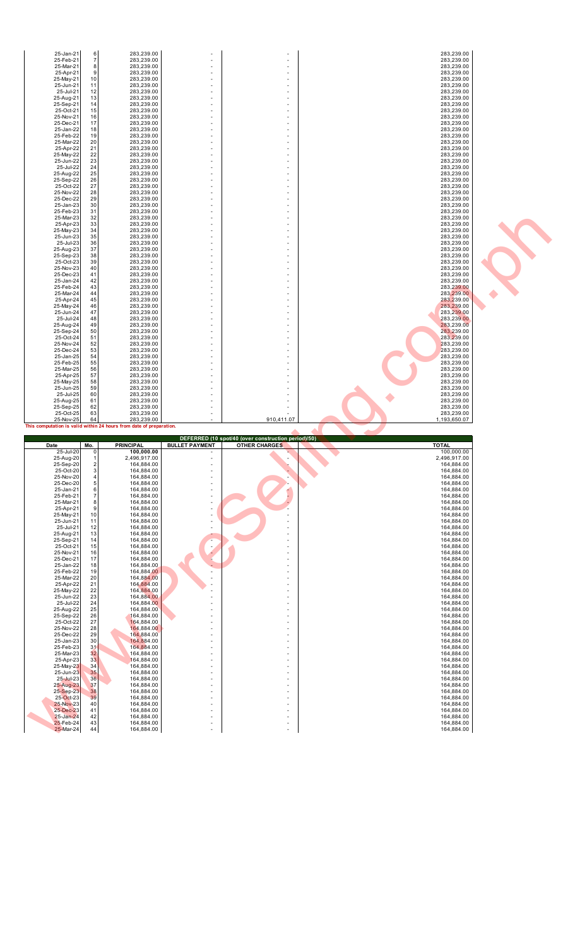| 25-Jan-21<br>25-Feb-21<br>25-Mar-21<br>25-Apr-21<br>25-May-21<br>25-Jun-21                           | 6<br>$\overline{7}$<br>8<br>9<br>10<br>11                  | 283,239.00<br>283,239.00<br>283,239.00<br>283,239.00<br>283,239.00<br>283,239.00                             |                                                                                                                  |                                                                             | 283,239.00<br>283,239.00<br>283,239.00<br>283,239.00<br>283,239.00<br>283,239.00                             |  |
|------------------------------------------------------------------------------------------------------|------------------------------------------------------------|--------------------------------------------------------------------------------------------------------------|------------------------------------------------------------------------------------------------------------------|-----------------------------------------------------------------------------|--------------------------------------------------------------------------------------------------------------|--|
| 25-Jul-21<br>25-Aug-21<br>25-Sep-21<br>25-Oct-21<br>25-Nov-21<br>25-Dec-21<br>25-Jan-22              | 12<br>13<br>14<br>15<br>16<br>17<br>18                     | 283,239.00<br>283,239.00<br>283,239.00<br>283,239.00<br>283,239.00<br>283,239.00<br>283,239.00               |                                                                                                                  |                                                                             | 283,239.00<br>283,239.00<br>283,239.00<br>283,239.00<br>283,239.00<br>283,239.00<br>283,239.00               |  |
| 25-Feb-22<br>25-Mar-22<br>25-Apr-22<br>25-May-22<br>25-Jun-22<br>25-Jul-22<br>25-Aug-22              | 19<br>20<br>21<br>22<br>23<br>24<br>25                     | 283,239.00<br>283,239.00<br>283,239.00<br>283,239.00<br>283,239.00<br>283,239.00<br>283,239.00               |                                                                                                                  |                                                                             | 283,239.00<br>283,239.00<br>283,239.00<br>283,239.00<br>283,239.00<br>283,239.00<br>283,239.00               |  |
| 25-Sep-22<br>25-Oct-22<br>25-Nov-22<br>25-Dec-22<br>25-Jan-23<br>25-Feb-23<br>25-Mar-23<br>25-Apr-23 | 26<br>27<br>28<br>29<br>30<br>31<br>32<br>33               | 283,239.00<br>283,239.00<br>283,239.00<br>283,239.00<br>283,239.00<br>283,239.00<br>283,239.00<br>283,239.00 |                                                                                                                  |                                                                             | 283,239.00<br>283,239.00<br>283,239.00<br>283,239.00<br>283,239.00<br>283,239.00<br>283,239.00               |  |
| 25-May-23<br>25-Jun-23<br>25-Jul-23<br>25-Aug-23<br>25-Sep-23<br>25-Oct-23<br>25-Nov-23              | 34<br>35<br>36<br>37<br>38<br>39<br>40                     | 283,239.00<br>283,239.00<br>283,239.00<br>283,239.00<br>283,239.00<br>283,239.00<br>283.239.00               | ٠                                                                                                                |                                                                             | 283,239.00<br>283,239.00<br>283,239.00<br>283,239.00<br>283,239.00<br>283,239.00<br>283,239.00<br>283,239.00 |  |
| 25-Dec-23<br>25-Jan-24<br>25-Feb-24<br>25-Mar-24<br>25-Apr-24<br>25-May-24<br>25-Jun-24<br>25-Jul-24 | 41<br>42<br>43<br>44<br>45<br>46<br>47<br>48               | 283,239.00<br>283,239.00<br>283,239.00<br>283,239.00<br>283,239.00<br>283,239.00<br>283,239.00<br>283,239.00 | ٠                                                                                                                |                                                                             | 283,239.00<br>283,239.00<br>283,239.00<br>283,239.00<br>283,239.00<br>283,239.00<br>283,239.00<br>283,239.00 |  |
| 25-Aug-24<br>25-Sep-24<br>25-Oct-24<br>25-Nov-24<br>25-Dec-24<br>25-Jan-25<br>25-Feb-25              | 49<br>50<br>51<br>52<br>53<br>54<br>55                     | 283,239.00<br>283,239.00<br>283,239.00<br>283,239.00<br>283,239.00<br>283,239.00<br>283,239.00               |                                                                                                                  |                                                                             | 283,239.00<br>283,239.00<br>283,239.00<br>283,239.00<br>283,239.00<br>283,239.00<br>283,239.00               |  |
| 25-Mar-25<br>25-Apr-25<br>25-May-25<br>25-Jun-25<br>25-Jul-25                                        | 56<br>57<br>58<br>59<br>60<br>61                           | 283,239.00<br>283,239.00<br>283,239.00<br>283,239.00<br>283,239.00<br>283,239.00                             |                                                                                                                  |                                                                             | 283,239.00<br>283,239.00<br>283,239.00<br>283,239.00<br>283,239.00                                           |  |
| 25-Aug-25<br>25-Sep-25                                                                               | 62                                                         | 283,239.00                                                                                                   | ٠                                                                                                                |                                                                             | 283,239.00<br>283,239.00                                                                                     |  |
| 25-Oct-25<br>25-Nov-25                                                                               | 63<br>64                                                   | 283,239.00<br>283,239.00<br>This computation is valid within 24 hours from date of preparation.              |                                                                                                                  | 910,411.07                                                                  | 283,239.00<br>1,193,650.07                                                                                   |  |
| Date<br>25-Jul-20<br>25-Aug-20<br>25-Sep-20<br>25-Oct-20<br>25-Nov-20                                | Mo.<br>0<br>$\sqrt{2}$<br>$\mathsf 3$<br>4                 | <b>PRINCIPAL</b><br>100,000.00<br>2.496.917.00<br>164,884.00<br>164,884.00<br>164,884.00                     | <b>BULLET PAYMENT</b><br>$\overline{\phantom{m}}$<br>$\centerdot$<br>ä,                                          | DEFERRED (10 spot/40 (over construction period)/50)<br><b>OTHER CHARGES</b> | <b>TOTAL</b><br>100,000.00<br>2,496,917.00<br>164,884.00<br>164,884.00<br>164,884.00                         |  |
| 25-Dec-20<br>25-Jan-21<br>25-Feb-21<br>25-Mar-21<br>25-Apr-21<br>25-May-21<br>25-Jun-21              | 5<br>6<br>$\overline{7}$<br>8<br>9<br>10<br>11             | 164,884.00<br>164,884.00<br>164,884.00<br>164,884.00<br>164,884.00<br>164,884.00<br>164,884.00               | ÷,<br>÷,<br>÷,<br>÷,<br>$\overline{\phantom{a}}$<br>$\centerdot$<br>$\overline{\phantom{a}}$                     |                                                                             | 164,884.00<br>164,884.00<br>164,884.00<br>164,884.00<br>164,884.00<br>164,884.00<br>164,884.00               |  |
| 25-Jul-21<br>25-Aug-21<br>25-Sep-21<br>25-Oct-21<br>25-Nov-21<br>25-Dec-21<br>25-Jan-22              | 12<br>13<br>14<br>15<br>16<br>17<br>18                     | 164,884.00<br>164,884.00<br>164,884.00<br>164,884.00<br>164,884.00<br>164,884.00<br>164,884.00               | $\overline{\phantom{a}}$<br>$\overline{\phantom{a}}$                                                             | $\overline{\phantom{m}}$<br>٠<br>$\overline{\phantom{a}}$                   | 164,884.00<br>164,884.00<br>164,884.00<br>164,884.00<br>164,884.00<br>164,884.00<br>164,884.00               |  |
| 25-Feb-22<br>25-Mar-22<br>25-Apr-22<br>25-May-22<br>25-Jun-22<br>25-Jul-22<br>25-Aug-22<br>25-Sep-22 | 19<br>20<br>21<br>22<br>23<br>24<br>25<br>26               | 164,884.00<br>164,884.00<br>164,884.00<br>164,884.00<br>164,884.00<br>164,884.00<br>164,884.00<br>164,884.00 | $\overline{a}$<br>$\overline{\phantom{a}}$<br>$\overline{a}$<br>÷,                                               | ٠                                                                           | 164,884.00<br>164,884.00<br>164,884.00<br>164,884.00<br>164,884.00<br>164,884.00<br>164,884.00<br>164,884.00 |  |
| 25-Oct-22<br>25-Nov-22<br>25-Dec-22<br>25-Jan-23<br>25-Feb-23<br>25-Mar-23<br>25-Apr-23<br>25-May-23 | 27<br>$\frac{28}{29}$<br>30<br>31<br>$\frac{32}{33}$<br>34 | 164,884.00<br>164,884.00<br>164,884.00<br>164,884.00<br>164,884.00<br>164,884.00<br>164,884.00<br>164,884.00 | $\overline{\phantom{a}}$<br>÷,<br>÷,<br>÷,<br>÷,<br>$\frac{1}{2}$<br>÷,<br>÷,                                    | $\overline{\phantom{m}}$<br>÷,<br>$\overline{\phantom{m}}$<br>L,            | 164,884.00<br>164,884.00<br>164,884.00<br>164,884.00<br>164,884.00<br>164,884.00<br>164,884.00<br>164,884.00 |  |
| 25-Jun-23<br>25-Jul-23<br>25-Aug-23<br>25-Sep-23<br>25-Oct-23<br>25-Nov-23<br>25-Dec-23<br>25-Jan-24 | 35<br>36<br>37<br>38<br>39<br>40<br>41<br>42               | 164,884.00<br>164,884.00<br>164,884.00<br>164,884.00<br>164,884.00<br>164,884.00<br>164,884.00<br>164,884.00 | ÷,<br>$\overline{\phantom{a}}$<br>÷,<br>$\overline{a}$<br>÷,<br>$\overline{\phantom{m}}$<br>÷,<br>$\overline{a}$ | ä,<br>ä,<br>Ĭ.                                                              | 164,884.00<br>164,884.00<br>164,884.00<br>164,884.00<br>164,884.00<br>164,884.00<br>164,884.00<br>164,884.00 |  |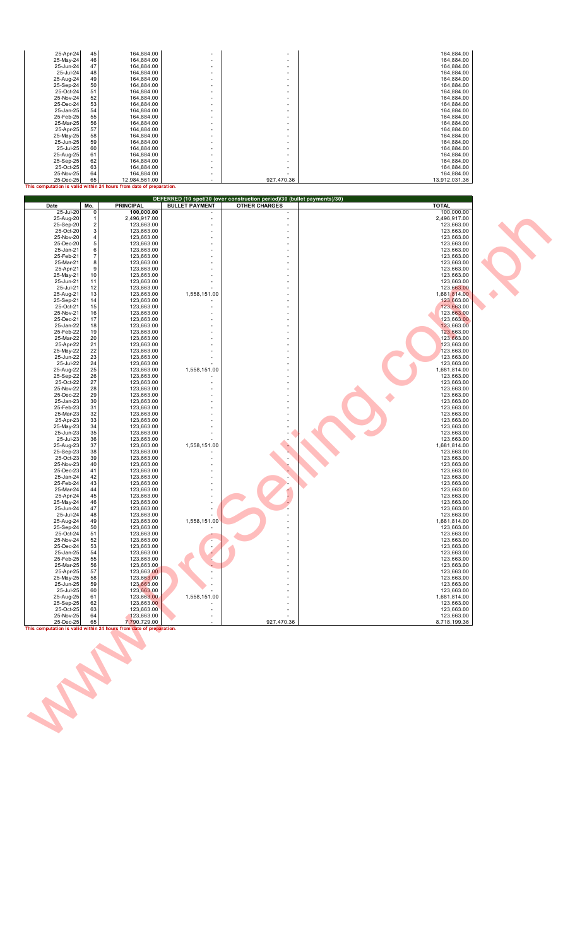| 25-Apr-24<br>25-May-24<br>25-Jun-24<br>25-Jul-24<br>25-Aug-24<br>25-Sep-24<br>25-Oct-24<br>25-Nov-24<br>25-Dec-24<br>25-Jan-25<br>25-Feb-25<br>25-Mar-25 | 45<br>46<br>47<br>48<br>49<br>50<br>51<br>52<br>53<br>54<br>55<br>56 | 164,884.00<br>164,884.00<br>164,884.00<br>164,884.00<br>164,884.00<br>164,884.00<br>164,884.00<br>164,884.00<br>164,884.00<br>164,884.00<br>164,884.00<br>164,884.00                                 | ٠<br>ä,<br>٠<br>×,<br>٠<br>٠   |                                                                          | 164,884.00<br>164,884.00<br>164,884.00<br>164,884.00<br>164,884.00<br>164,884.00<br>164,884.00<br>164,884.00<br>164,884.00<br>164,884.00<br>164,884.00<br>164,884.00 |  |
|----------------------------------------------------------------------------------------------------------------------------------------------------------|----------------------------------------------------------------------|------------------------------------------------------------------------------------------------------------------------------------------------------------------------------------------------------|--------------------------------|--------------------------------------------------------------------------|----------------------------------------------------------------------------------------------------------------------------------------------------------------------|--|
| 25-Apr-25<br>25-May-25<br>25-Jun-25<br>25-Jul-25<br>25-Aug-25<br>25-Sep-25<br>25-Oct-25<br>25-Nov-25<br>25-Dec-25                                        | 57<br>58<br>59<br>60<br>61<br>62<br>63<br>64<br>65                   | 164,884.00<br>164,884.00<br>164,884.00<br>164,884.00<br>164,884.00<br>164,884.00<br>164,884.00<br>164,884.00<br>12,984,561.00<br>This computation is valid within 24 hours from date of preparation. | ٠<br>ä,                        | 927,470.36                                                               | 164,884.00<br>164,884.00<br>164,884.00<br>164,884.00<br>164,884.00<br>164,884.00<br>164,884.00<br>164,884.00<br>13,912,031.36                                        |  |
|                                                                                                                                                          |                                                                      |                                                                                                                                                                                                      |                                | DEFERRED (10 spot/30 (over construction period)/30 (bullet payments)/30) |                                                                                                                                                                      |  |
| Date<br>25-Jul-20                                                                                                                                        | Mo.<br>0                                                             | <b>PRINCIPAL</b><br>100,000.00                                                                                                                                                                       | <b>BULLET PAYMENT</b>          | <b>OTHER CHARGES</b>                                                     | <b>TOTAL</b><br>100,000.00                                                                                                                                           |  |
| 25-Aug-20<br>25-Sep-20<br>25-Oct-20<br>25-Nov-20                                                                                                         | $\overline{2}$<br>3<br>$\sqrt{4}$                                    | 2,496,917.00<br>123,663.00<br>123,663.00<br>123,663.00                                                                                                                                               | ٠<br>÷,<br>ä,                  |                                                                          | 2,496,917.00<br>123,663.00<br>123,663.00<br>123,663.00                                                                                                               |  |
| 25-Dec-20<br>25-Jan-21                                                                                                                                   | $\sqrt{5}$<br>$\,6$                                                  | 123,663.00<br>123,663.00                                                                                                                                                                             | ٠                              |                                                                          | 123,663.00<br>123,663.00                                                                                                                                             |  |
| 25-Feb-21<br>25-Mar-21                                                                                                                                   | $\overline{7}$<br>8                                                  | 123,663.00<br>123,663.00                                                                                                                                                                             |                                |                                                                          | 123,663.00<br>123,663.00                                                                                                                                             |  |
| 25-Apr-21<br>25-May-21                                                                                                                                   | 9<br>$10$                                                            | 123,663.00<br>123,663.00                                                                                                                                                                             |                                |                                                                          | 123,663.00<br>123,663.00                                                                                                                                             |  |
| 25-Jun-21<br>25-Jul-21                                                                                                                                   | 11<br>12                                                             | 123,663.00<br>123,663.00                                                                                                                                                                             | $\overline{\phantom{m}}$       |                                                                          | 123,663.00<br>123,663.00                                                                                                                                             |  |
| 25-Aug-21<br>25-Sep-21                                                                                                                                   | 13<br>14                                                             | 123,663.00<br>123,663.00                                                                                                                                                                             | 1,558,151.00                   |                                                                          | 1,681,814.00<br>123,663.00                                                                                                                                           |  |
| 25-Oct-21<br>25-Nov-21                                                                                                                                   | 15<br>16                                                             | 123,663.00<br>123,663.00                                                                                                                                                                             |                                |                                                                          | 123,663.00<br>123,663.00                                                                                                                                             |  |
| 25-Dec-21<br>25-Jan-22                                                                                                                                   | 17<br>18                                                             | 123,663.00<br>123,663.00                                                                                                                                                                             |                                |                                                                          | 123,663.00<br>123,663.00                                                                                                                                             |  |
| 25-Feb-22<br>25-Mar-22                                                                                                                                   | 19<br>20                                                             | 123,663.00<br>123,663.00                                                                                                                                                                             |                                |                                                                          | 123,663.00<br>123,663.00                                                                                                                                             |  |
| 25-Apr-22<br>25-May-22                                                                                                                                   | 21<br>22                                                             | 123,663.00<br>123,663.00                                                                                                                                                                             | ٠                              |                                                                          | 123,663.00<br>123,663.00                                                                                                                                             |  |
| 25-Jun-22<br>25-Jul-22                                                                                                                                   | 23<br>24                                                             | 123,663.00<br>123,663.00                                                                                                                                                                             | ÷,                             |                                                                          | 123,663.00                                                                                                                                                           |  |
| 25-Aug-22                                                                                                                                                | 25                                                                   | 123,663.00                                                                                                                                                                                           | 1,558,151.00                   |                                                                          | 123,663.00<br>1,681,814.00                                                                                                                                           |  |
| 25-Sep-22<br>25-Oct-22                                                                                                                                   | 26<br>27                                                             | 123,663.00<br>123,663.00                                                                                                                                                                             |                                |                                                                          | 123,663.00<br>123,663.00                                                                                                                                             |  |
| 25-Nov-22<br>25-Dec-22                                                                                                                                   | 28<br>29                                                             | 123,663.00<br>123,663.00                                                                                                                                                                             | ٠                              |                                                                          | 123,663.00<br>123,663.00                                                                                                                                             |  |
| 25-Jan-23<br>25-Feb-23                                                                                                                                   | 30<br>31                                                             | 123,663.00<br>123,663.00                                                                                                                                                                             |                                |                                                                          | 123,663.00<br>123,663.00                                                                                                                                             |  |
| 25-Mar-23<br>25-Apr-23                                                                                                                                   | 32<br>33                                                             | 123,663.00<br>123,663.00                                                                                                                                                                             |                                |                                                                          | 123,663.00<br>123,663.00                                                                                                                                             |  |
| 25-May-23<br>25-Jun-23                                                                                                                                   | 34<br>35                                                             | 123,663.00<br>123,663.00                                                                                                                                                                             |                                |                                                                          | 123,663.00<br>123,663.00                                                                                                                                             |  |
| 25-Jul-23<br>25-Aug-23                                                                                                                                   | 36<br>37                                                             | 123,663.00<br>123,663.00                                                                                                                                                                             | 1,558,151.00                   |                                                                          | 123,663.00<br>1,681,814.00                                                                                                                                           |  |
| 25-Sep-23<br>25-Oct-23                                                                                                                                   | 38<br>39                                                             | 123,663.00<br>123,663.00                                                                                                                                                                             |                                |                                                                          | 123,663.00<br>123,663.00                                                                                                                                             |  |
| 25-Nov-23<br>25-Dec-23                                                                                                                                   | 40<br>41                                                             | 123,663.00<br>123,663.00                                                                                                                                                                             |                                |                                                                          | 123,663.00<br>123,663.00                                                                                                                                             |  |
| 25-Jan-24<br>25-Feb-24                                                                                                                                   | 42<br>43                                                             | 123,663.00<br>123,663.00                                                                                                                                                                             | ٠                              |                                                                          | 123,663.00<br>123,663.00                                                                                                                                             |  |
| 25-Mar-24<br>25-Apr-24                                                                                                                                   | 44<br>45                                                             | 123,663.00<br>123,663.00                                                                                                                                                                             | Ĭ.<br>÷,                       |                                                                          | 123,663.00<br>123,663.00                                                                                                                                             |  |
| 25-May-24<br>25-Jun-24                                                                                                                                   | 46<br>47                                                             | 123,663.00<br>123,663.00                                                                                                                                                                             | Ĭ.<br>$\overline{\phantom{m}}$ |                                                                          | 123,663.00<br>123,663.00                                                                                                                                             |  |
| 25-Jul-24<br>25-Aug-24                                                                                                                                   | 48<br>49                                                             | 123,663.00<br>123,663.00                                                                                                                                                                             | 1,558,151.00                   |                                                                          | 123,663.00<br>1,681,814.00                                                                                                                                           |  |
| 25-Sep-24<br>25-Oct-24                                                                                                                                   | 50<br>51                                                             | 123,663.00<br>123,663.00                                                                                                                                                                             |                                |                                                                          | 123,663.00<br>123,663.00                                                                                                                                             |  |
| 25-Nov-24<br>25-Dec-24                                                                                                                                   | 52<br>53                                                             | 123,663.00<br>123,663.00                                                                                                                                                                             |                                |                                                                          | 123,663.00<br>123,663.00                                                                                                                                             |  |
| 25-Jan-25<br>25-Feb-25                                                                                                                                   | 54<br>55                                                             | 123,663.00<br>123,663.00                                                                                                                                                                             |                                |                                                                          | 123,663.00<br>123,663.00                                                                                                                                             |  |
| 25-Mar-25<br>25-Apr-25                                                                                                                                   | 56<br>57                                                             | 123,663.00<br>123,663.00                                                                                                                                                                             |                                |                                                                          | 123,663.00<br>123,663.00                                                                                                                                             |  |
| 25-May-25                                                                                                                                                | 58                                                                   | 123,663.00<br>123,663.00                                                                                                                                                                             |                                |                                                                          | 123,663.00                                                                                                                                                           |  |
| 25-Jun-25<br>25-Jul-25                                                                                                                                   | 59<br>60                                                             | 123,663.00                                                                                                                                                                                           |                                |                                                                          | 123,663.00<br>123,663.00                                                                                                                                             |  |
| 25-Aug-25<br>25-Sep-25                                                                                                                                   | 61<br>62                                                             | 123,663.00<br>123,663.00                                                                                                                                                                             | 1,558,151.00                   |                                                                          | 1,681,814.00<br>123,663.00                                                                                                                                           |  |
| 25-Oct-25<br>25-Nov-25                                                                                                                                   | 63<br>64                                                             | 123,663.00<br>123,663.00                                                                                                                                                                             | ÷,                             |                                                                          | 123,663.00<br>123,663.00                                                                                                                                             |  |
| 25-Dec-25                                                                                                                                                | 65                                                                   | 7,790,729.00<br>This computation is valid within 24 hours from date of preparation.                                                                                                                  |                                | 927,470.36                                                               | 8,718,199.36                                                                                                                                                         |  |
|                                                                                                                                                          |                                                                      |                                                                                                                                                                                                      |                                |                                                                          |                                                                                                                                                                      |  |
|                                                                                                                                                          |                                                                      |                                                                                                                                                                                                      |                                |                                                                          |                                                                                                                                                                      |  |